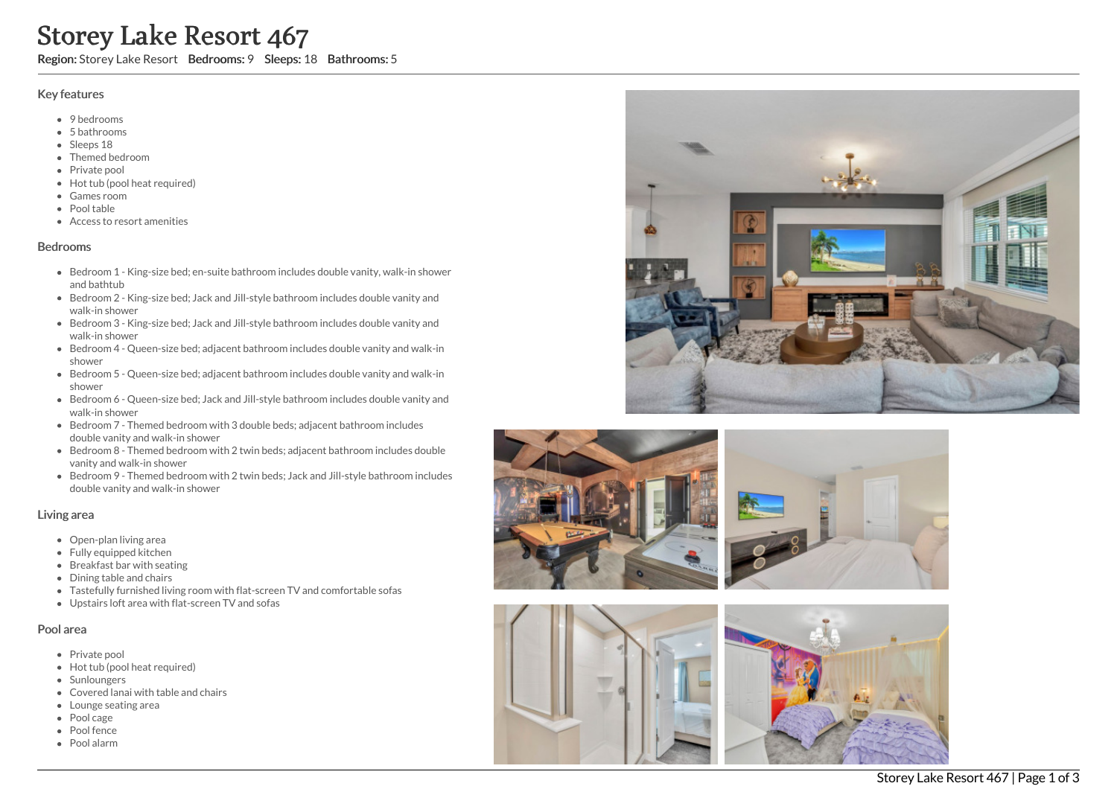# Storey Lake Resort 467

Region: Storey Lake Resort Bedrooms: 9 Sleeps: 18 Bathrooms: 5

#### Key features

- 9 bedrooms
- 5 b a t h r o o m s
- Sleeps 18
- Themed bedroom
- Private pool
- Hot tub (pool heat required)
- G a m e s r o o m
- Pool table
- Access to resort amenities

### **Bedrooms**

- Bedroom 1 King-size bed; en-suite bathroom includes double vanity, walk-in shower a n d b a t h t u b
- Bedroom 2 King-size bed; Jack and Jill-style bathroom includes double vanity and walk-in shower
- Bedroom 3 King-size bed; Jack and Jill-style bathroom includes double vanity and walk-in shower
- Bedroom 4 Queen-size bed; adjacent bathroom includes double vanity and walk-in s h o w e r
- Bedroom 5 Queen-size bed; adjacent bathroom includes double vanity and walk-in s h o w e r
- Bedroom 6 Queen-size bed; Jack and Jill-style bathroom includes double vanity and walk-in shower
- Bedroom 7 Themed bedroom with 3 double beds; adjacent bathroom includes double vanity and walk-in shower
- Bedroom 8 Themed bedroom with 2 twin beds; adjacent bathroom includes double vanity and walk-in shower
- Bedroom 9 Themed bedroom with 2 twin beds; Jack and Jill-style bathroom includes double vanity and walk-in shower

#### Living area

- Open-plan living area
- Fully equipped kitchen
- Breakfast bar with seating
- Dining table and chairs
- Tastefully furnished living room with flat-screen TV and comfortable sofas
- Upstairs loft area with flat-screen TV and sofas

## Pool area

- Private pool
- Hot tub (pool heat required)
- **Sunloungers**
- Covered lanai with table and chairs
- Lounge seating area
- Pool cage
- Pool fence
- P o ol ala r m









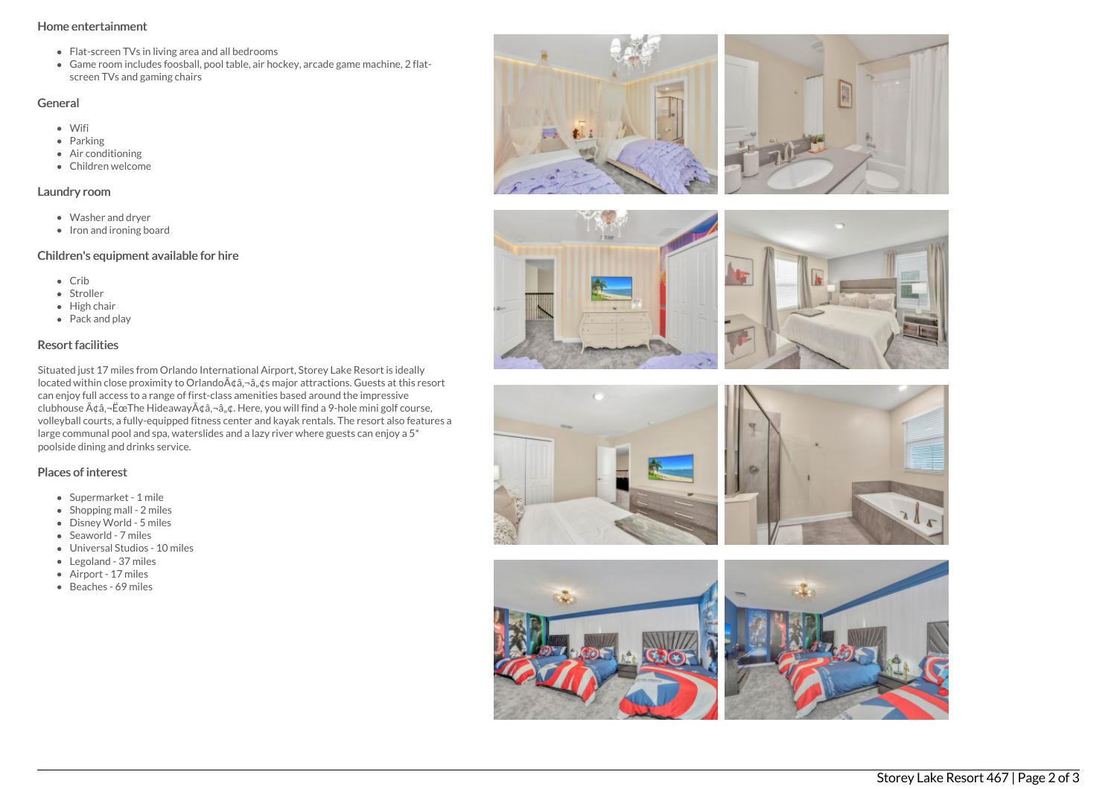### Home entertainment

- Flat-screen TVs in living area and all bedrooms
- Game room includes foosball, pool table, air hockey, arcade game machine, 2 flatscreen TVs and gaming chairs

## General

- Wifi
- Parking
- Air conditioning
- Children welcome

### Laundry room

- Washer and dryer
- Iron and ironing board

## Children's equipment available for hire

- Crib
- Stroller
- $\bullet$  High chair
- Pack and play

## Resort facilities

Situated just 17 miles from Orlando International Airport, Storey Lake Resort is ideally located within close proximity to Orlando à ¢â, ¬â, ¢s major attractions. Guests at this resort can enjoy full access to a range of first-class amenities based around the impressive clubhouse  $\tilde{A} \phi \hat{a}$ ,  $\tilde{E}$   $\tilde{c}$  The Hideaway $\tilde{A} \phi \hat{a}$ ,  $\tilde{a}$ ,  $\phi$ . Here, you will find a 9-hole mini golf course, volleyball courts, a fully-equipped fitness center and kayak rentals. The resort also features a large communal pool and spa, waterslides and a lazy river where guests can enjoy a 5\* poolside dining and drinks service.

## Places of interest

- Supermarket 1 mile
- $\bullet$  Shopping mall 2 miles
- Disney World 5 miles
- Seaworld 7 miles
- Universal Studios 10 miles
- Legoland 37 miles
- Airport 17 miles
- Beaches 69 miles